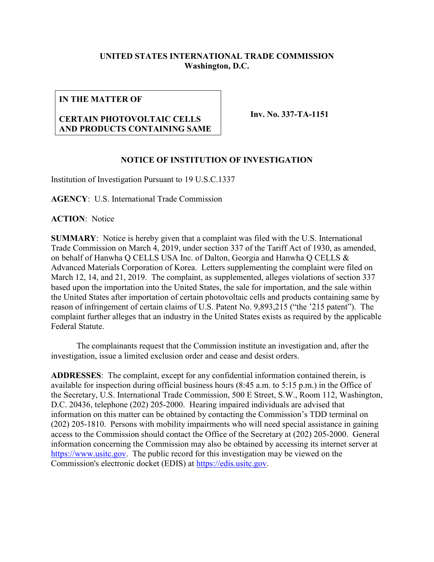# **UNITED STATES INTERNATIONAL TRADE COMMISSION Washington, D.C.**

#### **IN THE MATTER OF**

# **CERTAIN PHOTOVOLTAIC CELLS AND PRODUCTS CONTAINING SAME**

**Inv. No. 337-TA-1151**

## **NOTICE OF INSTITUTION OF INVESTIGATION**

Institution of Investigation Pursuant to 19 U.S.C.1337

**AGENCY**: U.S. International Trade Commission

**ACTION**: Notice

**SUMMARY**: Notice is hereby given that a complaint was filed with the U.S. International Trade Commission on March 4, 2019, under section 337 of the Tariff Act of 1930, as amended, on behalf of Hanwha Q CELLS USA Inc. of Dalton, Georgia and Hanwha Q CELLS & Advanced Materials Corporation of Korea. Letters supplementing the complaint were filed on March 12, 14, and 21, 2019. The complaint, as supplemented, alleges violations of section 337 based upon the importation into the United States, the sale for importation, and the sale within the United States after importation of certain photovoltaic cells and products containing same by reason of infringement of certain claims of U.S. Patent No. 9,893,215 ("the '215 patent"). The complaint further alleges that an industry in the United States exists as required by the applicable Federal Statute.

The complainants request that the Commission institute an investigation and, after the investigation, issue a limited exclusion order and cease and desist orders.

**ADDRESSES**: The complaint, except for any confidential information contained therein, is available for inspection during official business hours (8:45 a.m. to 5:15 p.m.) in the Office of the Secretary, U.S. International Trade Commission, 500 E Street, S.W., Room 112, Washington, D.C. 20436, telephone (202) 205-2000. Hearing impaired individuals are advised that information on this matter can be obtained by contacting the Commission's TDD terminal on (202) 205-1810. Persons with mobility impairments who will need special assistance in gaining access to the Commission should contact the Office of the Secretary at (202) 205-2000. General information concerning the Commission may also be obtained by accessing its internet server at [https://www.usitc.gov.](https://www.usitc.gov/) The public record for this investigation may be viewed on the Commission's electronic docket (EDIS) at [https://edis.usitc.gov.](https://edis.usitc.gov/)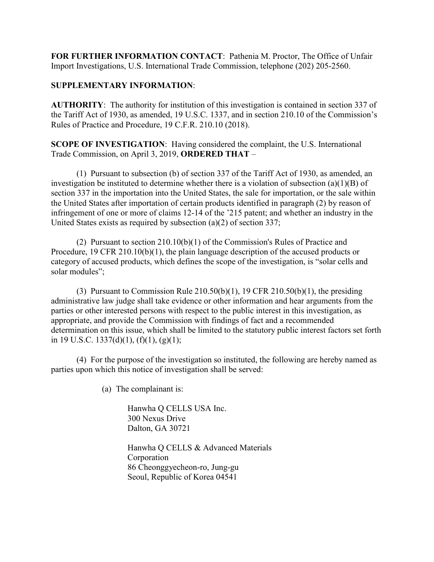**FOR FURTHER INFORMATION CONTACT**: Pathenia M. Proctor, The Office of Unfair Import Investigations, U.S. International Trade Commission, telephone (202) 205-2560.

## **SUPPLEMENTARY INFORMATION**:

**AUTHORITY**: The authority for institution of this investigation is contained in section 337 of the Tariff Act of 1930, as amended, 19 U.S.C. 1337, and in section 210.10 of the Commission's Rules of Practice and Procedure, 19 C.F.R. 210.10 (2018).

**SCOPE OF INVESTIGATION**: Having considered the complaint, the U.S. International Trade Commission, on April 3, 2019, **ORDERED THAT** –

(1) Pursuant to subsection (b) of section 337 of the Tariff Act of 1930, as amended, an investigation be instituted to determine whether there is a violation of subsection (a)(1)(B) of section 337 in the importation into the United States, the sale for importation, or the sale within the United States after importation of certain products identified in paragraph (2) by reason of infringement of one or more of claims 12-14 of the '215 patent; and whether an industry in the United States exists as required by subsection (a)(2) of section 337;

(2) Pursuant to section 210.10(b)(1) of the Commission's Rules of Practice and Procedure, 19 CFR 210.10(b)(1), the plain language description of the accused products or category of accused products, which defines the scope of the investigation, is "solar cells and solar modules";

(3) Pursuant to Commission Rule  $210.50(b)(1)$ , 19 CFR  $210.50(b)(1)$ , the presiding administrative law judge shall take evidence or other information and hear arguments from the parties or other interested persons with respect to the public interest in this investigation, as appropriate, and provide the Commission with findings of fact and a recommended determination on this issue, which shall be limited to the statutory public interest factors set forth in 19 U.S.C. 1337(d)(1),  $(f)(1)$ ,  $(g)(1)$ ;

(4) For the purpose of the investigation so instituted, the following are hereby named as parties upon which this notice of investigation shall be served:

(a) The complainant is:

Hanwha Q CELLS USA Inc. 300 Nexus Drive Dalton, GA 30721

Hanwha Q CELLS & Advanced Materials Corporation 86 Cheonggyecheon-ro, Jung-gu Seoul, Republic of Korea 04541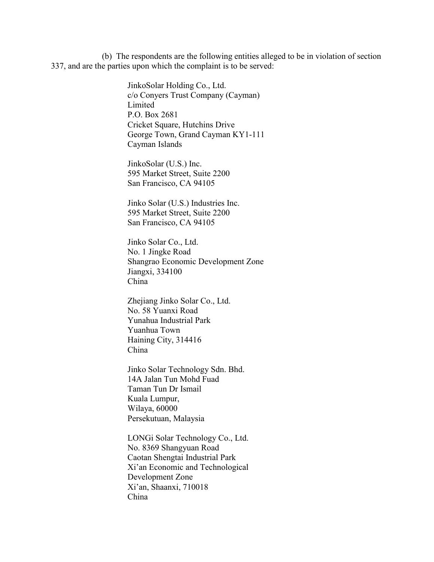(b) The respondents are the following entities alleged to be in violation of section 337, and are the parties upon which the complaint is to be served:

> JinkoSolar Holding Co., Ltd. c/o Conyers Trust Company (Cayman) Limited P.O. Box 2681 Cricket Square, Hutchins Drive George Town, Grand Cayman KY1-111 Cayman Islands

JinkoSolar (U.S.) Inc. 595 Market Street, Suite 2200 San Francisco, CA 94105

Jinko Solar (U.S.) Industries Inc. 595 Market Street, Suite 2200 San Francisco, CA 94105

Jinko Solar Co., Ltd. No. 1 Jingke Road Shangrao Economic Development Zone Jiangxi, 334100 China

Zhejiang Jinko Solar Co., Ltd. No. 58 Yuanxi Road Yunahua Industrial Park Yuanhua Town Haining City, 314416 China

Jinko Solar Technology Sdn. Bhd. 14A Jalan Tun Mohd Fuad Taman Tun Dr Ismail Kuala Lumpur, Wilaya, 60000 Persekutuan, Malaysia

LONGi Solar Technology Co., Ltd. No. 8369 Shangyuan Road Caotan Shengtai Industrial Park Xi'an Economic and Technological Development Zone Xi'an, Shaanxi, 710018 China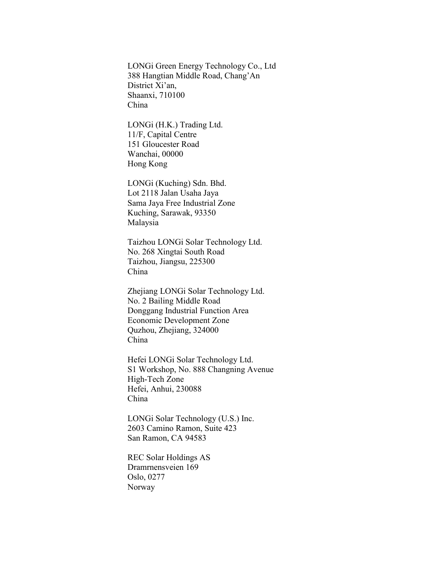LONGi Green Energy Technology Co., Ltd 388 Hangtian Middle Road, Chang'An District Xi'an, Shaanxi, 710100 China

LONGi (H.K.) Trading Ltd. 11/F, Capital Centre 151 Gloucester Road Wanchai, 00000 Hong Kong

LONGi (Kuching) Sdn. Bhd. Lot 2118 Jalan Usaha Jaya Sama Jaya Free Industrial Zone Kuching, Sarawak, 93350 Malaysia

Taizhou LONGi Solar Technology Ltd. No. 268 Xingtai South Road Taizhou, Jiangsu, 225300 China

Zhejiang LONGi Solar Technology Ltd. No. 2 Bailing Middle Road Donggang Industrial Function Area Economic Development Zone Quzhou, Zhejiang, 324000 China

Hefei LONGi Solar Technology Ltd. S1 Workshop, No. 888 Changning Avenue High-Tech Zone Hefei, Anhui, 230088 China

LONGi Solar Technology (U.S.) Inc. 2603 Camino Ramon, Suite 423 San Ramon, CA 94583

REC Solar Holdings AS Dramrnensveien 169 Oslo, 0277 Norway